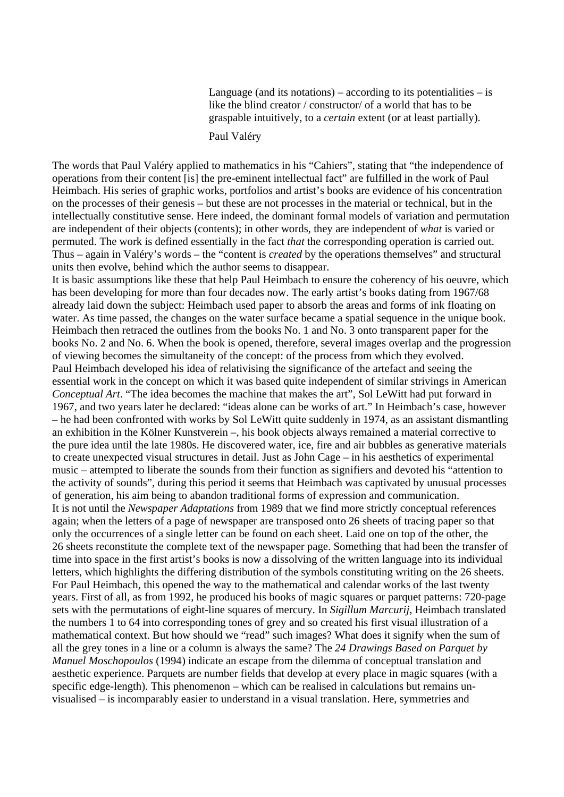Language (and its notations) – according to its potentialities – is like the blind creator / constructor/ of a world that has to be graspable intuitively, to a *certain* extent (or at least partially).

## Paul Valéry

The words that Paul Valéry applied to mathematics in his "Cahiers", stating that "the independence of operations from their content [is] the pre-eminent intellectual fact" are fulfilled in the work of Paul Heimbach. His series of graphic works, portfolios and artist's books are evidence of his concentration on the processes of their genesis – but these are not processes in the material or technical, but in the intellectually constitutive sense. Here indeed, the dominant formal models of variation and permutation are independent of their objects (contents); in other words, they are independent of *what* is varied or permuted. The work is defined essentially in the fact *that* the corresponding operation is carried out. Thus – again in Valéry's words – the "content is *created* by the operations themselves" and structural units then evolve, behind which the author seems to disappear.

It is basic assumptions like these that help Paul Heimbach to ensure the coherency of his oeuvre, which has been developing for more than four decades now. The early artist's books dating from 1967/68 already laid down the subject: Heimbach used paper to absorb the areas and forms of ink floating on water. As time passed, the changes on the water surface became a spatial sequence in the unique book. Heimbach then retraced the outlines from the books No. 1 and No. 3 onto transparent paper for the books No. 2 and No. 6. When the book is opened, therefore, several images overlap and the progression of viewing becomes the simultaneity of the concept: of the process from which they evolved. Paul Heimbach developed his idea of relativising the significance of the artefact and seeing the essential work in the concept on which it was based quite independent of similar strivings in American *Conceptual Art*. "The idea becomes the machine that makes the art", Sol LeWitt had put forward in 1967, and two years later he declared: "ideas alone can be works of art." In Heimbach's case, however – he had been confronted with works by Sol LeWitt quite suddenly in 1974, as an assistant dismantling an exhibition in the Kölner Kunstverein –, his book objects always remained a material corrective to the pure idea until the late 1980s. He discovered water, ice, fire and air bubbles as generative materials to create unexpected visual structures in detail. Just as John Cage – in his aesthetics of experimental music – attempted to liberate the sounds from their function as signifiers and devoted his "attention to the activity of sounds", during this period it seems that Heimbach was captivated by unusual processes of generation, his aim being to abandon traditional forms of expression and communication. It is not until the *Newspaper Adaptations* from 1989 that we find more strictly conceptual references again; when the letters of a page of newspaper are transposed onto 26 sheets of tracing paper so that only the occurrences of a single letter can be found on each sheet. Laid one on top of the other, the 26 sheets reconstitute the complete text of the newspaper page. Something that had been the transfer of time into space in the first artist's books is now a dissolving of the written language into its individual letters, which highlights the differing distribution of the symbols constituting writing on the 26 sheets. For Paul Heimbach, this opened the way to the mathematical and calendar works of the last twenty years. First of all, as from 1992, he produced his books of magic squares or parquet patterns: 720-page sets with the permutations of eight-line squares of mercury. In *Sigillum Marcurij*, Heimbach translated the numbers 1 to 64 into corresponding tones of grey and so created his first visual illustration of a mathematical context. But how should we "read" such images? What does it signify when the sum of all the grey tones in a line or a column is always the same? The *24 Drawings Based on Parquet by Manuel Moschopoulos* (1994) indicate an escape from the dilemma of conceptual translation and aesthetic experience. Parquets are number fields that develop at every place in magic squares (with a specific edge-length). This phenomenon – which can be realised in calculations but remains unvisualised – is incomparably easier to understand in a visual translation. Here, symmetries and